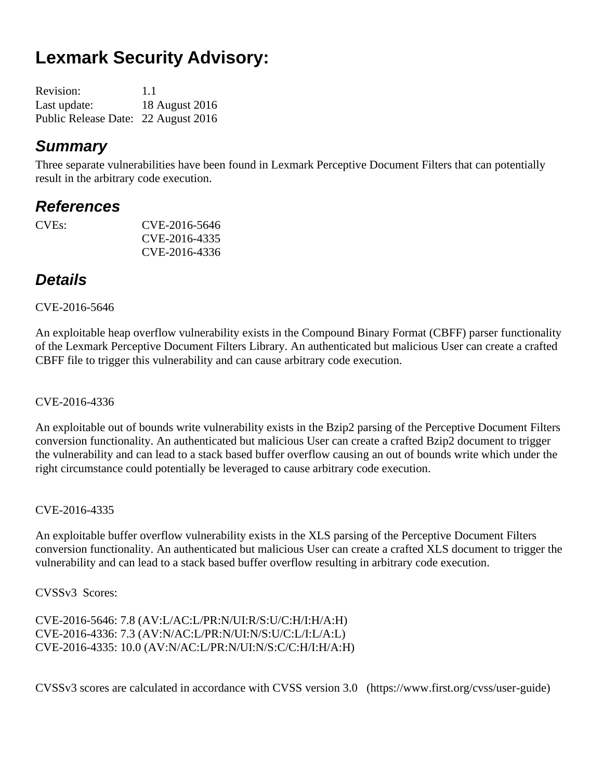# **Lexmark Security Advisory:**

| <b>Revision:</b>                    | 1.1            |
|-------------------------------------|----------------|
| Last update:                        | 18 August 2016 |
| Public Release Date: 22 August 2016 |                |

### *Summary*

Three separate vulnerabilities have been found in Lexmark Perceptive Document Filters that can potentially result in the arbitrary code execution.

### *References*

CVEs: CVE-2016-5646 CVE-2016-4335 CVE-2016-4336

### *Details*

#### CVE-2016-5646

An exploitable heap overflow vulnerability exists in the Compound Binary Format (CBFF) parser functionality of the Lexmark Perceptive Document Filters Library. An authenticated but malicious User can create a crafted CBFF file to trigger this vulnerability and can cause arbitrary code execution.

CVE-2016-4336

An exploitable out of bounds write vulnerability exists in the Bzip2 parsing of the Perceptive Document Filters conversion functionality. An authenticated but malicious User can create a crafted Bzip2 document to trigger the vulnerability and can lead to a stack based buffer overflow causing an out of bounds write which under the right circumstance could potentially be leveraged to cause arbitrary code execution.

CVE-2016-4335

An exploitable buffer overflow vulnerability exists in the XLS parsing of the Perceptive Document Filters conversion functionality. An authenticated but malicious User can create a crafted XLS document to trigger the vulnerability and can lead to a stack based buffer overflow resulting in arbitrary code execution.

CVSSv3 Scores:

CVE-2016-5646: 7.8 (AV:L/AC:L/PR:N/UI:R/S:U/C:H/I:H/A:H) CVE-2016-4336: 7.3 (AV:N/AC:L/PR:N/UI:N/S:U/C:L/I:L/A:L) CVE-2016-4335: 10.0 (AV:N/AC:L/PR:N/UI:N/S:C/C:H/I:H/A:H)

CVSSv3 scores are calculated in accordance with CVSS version 3.0 (https://www.first.org/cvss/user-guide)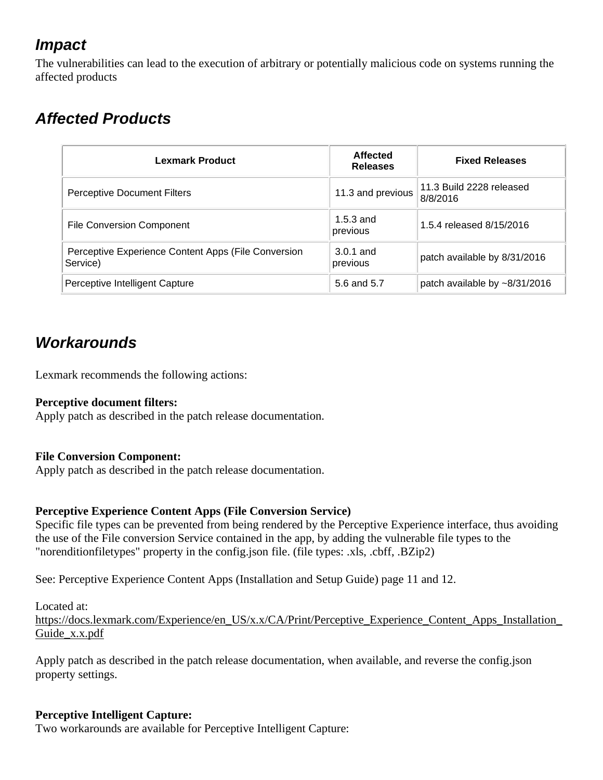## *Impact*

The vulnerabilities can lead to the execution of arbitrary or potentially malicious code on systems running the affected products

# *Affected Products*

| Lexmark Product                                                 | <b>Affected</b><br><b>Releases</b> | <b>Fixed Releases</b>                |
|-----------------------------------------------------------------|------------------------------------|--------------------------------------|
| <b>Perceptive Document Filters</b>                              | 11.3 and previous                  | 11.3 Build 2228 released<br>8/8/2016 |
| <b>File Conversion Component</b>                                | $1.5.3$ and<br>previous            | 1.5.4 released 8/15/2016             |
| Perceptive Experience Content Apps (File Conversion<br>Service) | $3.0.1$ and<br>previous            | patch available by 8/31/2016         |
| Perceptive Intelligent Capture                                  | 5.6 and 5.7                        | patch available by ~8/31/2016        |

## *Workarounds*

Lexmark recommends the following actions:

#### **Perceptive document filters:**

Apply patch as described in the patch release documentation.

#### **File Conversion Component:**

Apply patch as described in the patch release documentation.

#### **Perceptive Experience Content Apps (File Conversion Service)**

Specific file types can be prevented from being rendered by the Perceptive Experience interface, thus avoiding the use of the File conversion Service contained in the app, by adding the vulnerable file types to the "norenditionfiletypes" property in the config.json file. (file types: .xls, .cbff, .BZip2)

See: Perceptive Experience Content Apps (Installation and Setup Guide) page 11 and 12.

Located at: https://docs.lexmark.com/Experience/en\_US/x.x/CA/Print/Perceptive\_Experience\_Content\_Apps\_Installation Guide\_x.x.pdf

Apply patch as described in the patch release documentation, when available, and reverse the config.json property settings.

#### **Perceptive Intelligent Capture:**

Two workarounds are available for Perceptive Intelligent Capture: